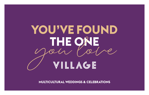# **YOU'VE FOUND** THE ONE

**MULTICULTURAL WEDDINGS & CELEBRATIONS**

1<br>1<br>1